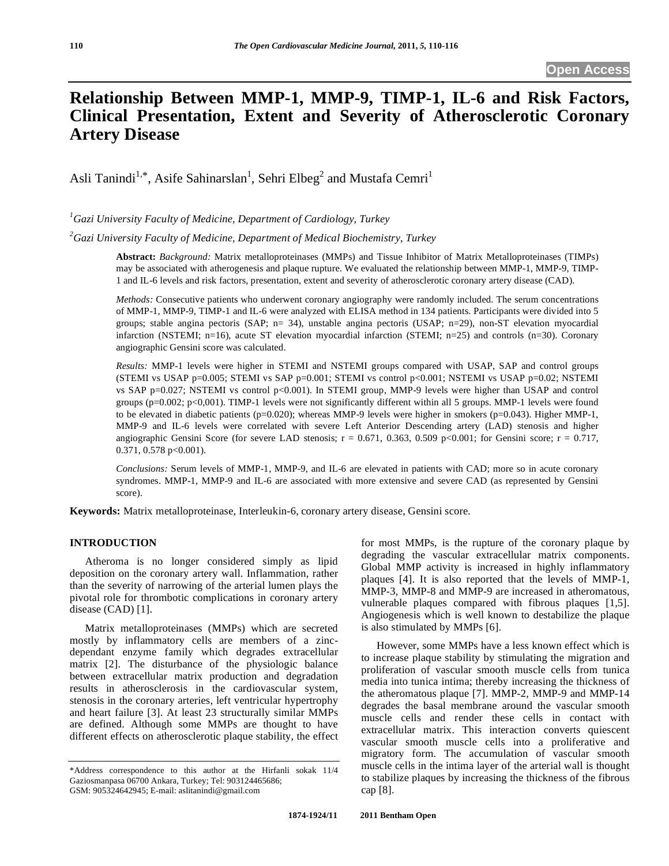# **Relationship Between MMP-1, MMP-9, TIMP-1, IL-6 and Risk Factors, Clinical Presentation, Extent and Severity of Atherosclerotic Coronary Artery Disease**

Asli Tanindi<sup>1,\*</sup>, Asife Sahinarslan<sup>1</sup>, Sehri Elbeg<sup>2</sup> and Mustafa Cemri<sup>1</sup>

*1 Gazi University Faculty of Medicine, Department of Cardiology, Turkey* 

*2 Gazi University Faculty of Medicine, Department of Medical Biochemistry, Turkey* 

**Abstract:** *Background:* Matrix metalloproteinases (MMPs) and Tissue Inhibitor of Matrix Metalloproteinases (TIMPs) may be associated with atherogenesis and plaque rupture. We evaluated the relationship between MMP-1, MMP-9, TIMP-1 and IL-6 levels and risk factors, presentation, extent and severity of atherosclerotic coronary artery disease (CAD).

*Methods:* Consecutive patients who underwent coronary angiography were randomly included. The serum concentrations of MMP-1, MMP-9, TIMP-1 and IL-6 were analyzed with ELISA method in 134 patients. Participants were divided into 5 groups; stable angina pectoris (SAP; n= 34), unstable angina pectoris (USAP; n=29), non-ST elevation myocardial infarction (NSTEMI; n=16), acute ST elevation myocardial infarction (STEMI; n=25) and controls (n=30). Coronary angiographic Gensini score was calculated.

*Results:* MMP-1 levels were higher in STEMI and NSTEMI groups compared with USAP, SAP and control groups (STEMI vs USAP  $p=0.005$ ; STEMI vs SAP  $p=0.001$ ; STEMI vs control  $p<0.001$ ; NSTEMI vs USAP  $p=0.02$ ; NSTEMI vs SAP p=0.027; NSTEMI vs control p<0.001). In STEMI group, MMP-9 levels were higher than USAP and control groups (p=0.002; p<0,001). TIMP-1 levels were not significantly different within all 5 groups. MMP-1 levels were found to be elevated in diabetic patients (p=0.020); whereas MMP-9 levels were higher in smokers (p=0.043). Higher MMP-1, MMP-9 and IL-6 levels were correlated with severe Left Anterior Descending artery (LAD) stenosis and higher angiographic Gensini Score (for severe LAD stenosis;  $r = 0.671$ , 0.363, 0.509 p<0.001; for Gensini score;  $r = 0.717$ , 0.371, 0.578 p<0.001).

*Conclusions:* Serum levels of MMP-1, MMP-9, and IL-6 are elevated in patients with CAD; more so in acute coronary syndromes. MMP-1, MMP-9 and IL-6 are associated with more extensive and severe CAD (as represented by Gensini score).

**Keywords:** Matrix metalloproteinase, Interleukin-6, coronary artery disease, Gensini score.

#### **INTRODUCTION**

 Atheroma is no longer considered simply as lipid deposition on the coronary artery wall. Inflammation, rather than the severity of narrowing of the arterial lumen plays the pivotal role for thrombotic complications in coronary artery disease (CAD) [1].

 Matrix metalloproteinases (MMPs) which are secreted mostly by inflammatory cells are members of a zincdependant enzyme family which degrades extracellular matrix [2]. The disturbance of the physiologic balance between extracellular matrix production and degradation results in atherosclerosis in the cardiovascular system, stenosis in the coronary arteries, left ventricular hypertrophy and heart failure [3]. At least 23 structurally similar MMPs are defined. Although some MMPs are thought to have different effects on atherosclerotic plaque stability, the effect

for most MMPs, is the rupture of the coronary plaque by degrading the vascular extracellular matrix components. Global MMP activity is increased in highly inflammatory plaques [4]. It is also reported that the levels of MMP-1, MMP-3, MMP-8 and MMP-9 are increased in atheromatous, vulnerable plaques compared with fibrous plaques [1,5]. Angiogenesis which is well known to destabilize the plaque is also stimulated by MMPs [6].

 However, some MMPs have a less known effect which is to increase plaque stability by stimulating the migration and proliferation of vascular smooth muscle cells from tunica media into tunica intima; thereby increasing the thickness of the atheromatous plaque [7]. MMP-2, MMP-9 and MMP-14 degrades the basal membrane around the vascular smooth muscle cells and render these cells in contact with extracellular matrix. This interaction converts quiescent vascular smooth muscle cells into a proliferative and migratory form. The accumulation of vascular smooth muscle cells in the intima layer of the arterial wall is thought to stabilize plaques by increasing the thickness of the fibrous cap [8].

<sup>\*</sup>Address correspondence to this author at the Hirfanli sokak 11/4 Gaziosmanpasa 06700 Ankara, Turkey; Tel: 903124465686; GSM: 905324642945; E-mail: aslitanindi@gmail.com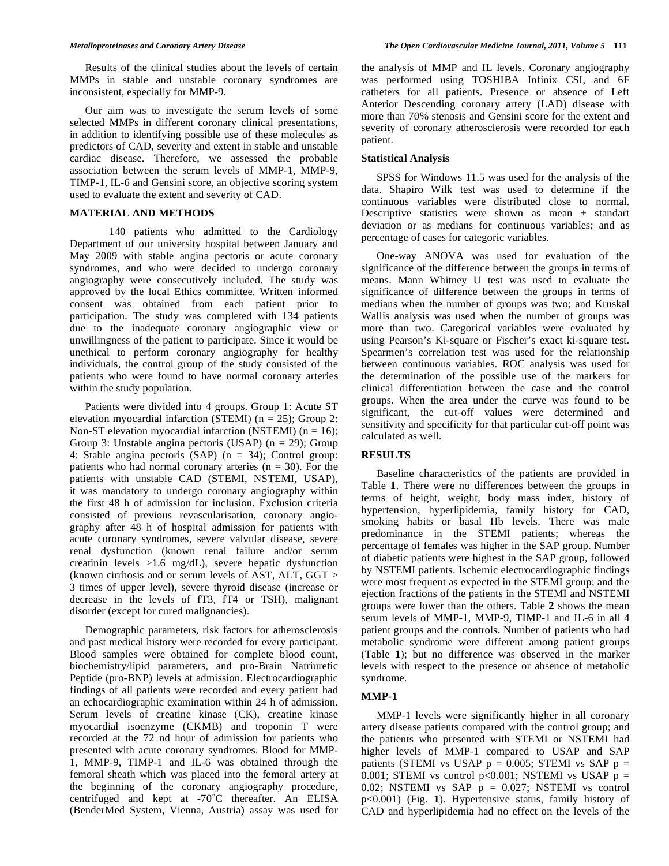Results of the clinical studies about the levels of certain MMPs in stable and unstable coronary syndromes are inconsistent, especially for MMP-9.

 Our aim was to investigate the serum levels of some selected MMPs in different coronary clinical presentations, in addition to identifying possible use of these molecules as predictors of CAD, severity and extent in stable and unstable cardiac disease. Therefore, we assessed the probable association between the serum levels of MMP-1, MMP-9, TIMP-1, IL-6 and Gensini score, an objective scoring system used to evaluate the extent and severity of CAD.

#### **MATERIAL AND METHODS**

140 patients who admitted to the Cardiology Department of our university hospital between January and May 2009 with stable angina pectoris or acute coronary syndromes, and who were decided to undergo coronary angiography were consecutively included. The study was approved by the local Ethics committee. Written informed consent was obtained from each patient prior to participation. The study was completed with 134 patients due to the inadequate coronary angiographic view or unwillingness of the patient to participate. Since it would be unethical to perform coronary angiography for healthy individuals, the control group of the study consisted of the patients who were found to have normal coronary arteries within the study population.

 Patients were divided into 4 groups. Group 1: Acute ST elevation myocardial infarction (STEMI) ( $n = 25$ ); Group 2: Non-ST elevation myocardial infarction (NSTEMI) ( $n = 16$ ); Group 3: Unstable angina pectoris (USAP) ( $n = 29$ ); Group 4: Stable angina pectoris (SAP) (n = 34); Control group: patients who had normal coronary arteries  $(n = 30)$ . For the patients with unstable CAD (STEMI, NSTEMI, USAP), it was mandatory to undergo coronary angiography within the first 48 h of admission for inclusion. Exclusion criteria consisted of previous revascularisation, coronary angiography after 48 h of hospital admission for patients with acute coronary syndromes, severe valvular disease, severe renal dysfunction (known renal failure and/or serum creatinin levels >1.6 mg/dL), severe hepatic dysfunction (known cirrhosis and or serum levels of AST, ALT, GGT > 3 times of upper level), severe thyroid disease (increase or decrease in the levels of fT3, fT4 or TSH), malignant disorder (except for cured malignancies).

 Demographic parameters, risk factors for atherosclerosis and past medical history were recorded for every participant. Blood samples were obtained for complete blood count, biochemistry/lipid parameters, and pro-Brain Natriuretic Peptide (pro-BNP) levels at admission. Electrocardiographic findings of all patients were recorded and every patient had an echocardiographic examination within 24 h of admission. Serum levels of creatine kinase (CK), creatine kinase myocardial isoenzyme (CKMB) and troponin T were recorded at the 72 nd hour of admission for patients who presented with acute coronary syndromes. Blood for MMP-1, MMP-9, TIMP-1 and IL-6 was obtained through the femoral sheath which was placed into the femoral artery at the beginning of the coronary angiography procedure, centrifuged and kept at -70˚C thereafter. An ELISA (BenderMed System, Vienna, Austria) assay was used for

the analysis of MMP and IL levels. Coronary angiography was performed using TOSHIBA Infinix CSI, and 6F catheters for all patients. Presence or absence of Left Anterior Descending coronary artery (LAD) disease with more than 70% stenosis and Gensini score for the extent and severity of coronary atherosclerosis were recorded for each patient.

#### **Statistical Analysis**

 SPSS for Windows 11.5 was used for the analysis of the data. Shapiro Wilk test was used to determine if the continuous variables were distributed close to normal. Descriptive statistics were shown as mean  $\pm$  standart deviation or as medians for continuous variables; and as percentage of cases for categoric variables.

 One-way ANOVA was used for evaluation of the significance of the difference between the groups in terms of means. Mann Whitney U test was used to evaluate the significance of difference between the groups in terms of medians when the number of groups was two; and Kruskal Wallis analysis was used when the number of groups was more than two. Categorical variables were evaluated by using Pearson's Ki-square or Fischer's exact ki-square test. Spearmen's correlation test was used for the relationship between continuous variables. ROC analysis was used for the determination of the possible use of the markers for clinical differentiation between the case and the control groups. When the area under the curve was found to be significant, the cut-off values were determined and sensitivity and specificity for that particular cut-off point was calculated as well.

#### **RESULTS**

 Baseline characteristics of the patients are provided in Table **1**. There were no differences between the groups in terms of height, weight, body mass index, history of hypertension, hyperlipidemia, family history for CAD, smoking habits or basal Hb levels. There was male predominance in the STEMI patients; whereas the percentage of females was higher in the SAP group. Number of diabetic patients were highest in the SAP group, followed by NSTEMI patients. Ischemic electrocardiographic findings were most frequent as expected in the STEMI group; and the ejection fractions of the patients in the STEMI and NSTEMI groups were lower than the others. Table **2** shows the mean serum levels of MMP-1, MMP-9, TIMP-1 and IL-6 in all 4 patient groups and the controls. Number of patients who had metabolic syndrome were different among patient groups (Table **1**); but no difference was observed in the marker levels with respect to the presence or absence of metabolic syndrome.

# **MMP-1**

 MMP-1 levels were significantly higher in all coronary artery disease patients compared with the control group; and the patients who presented with STEMI or NSTEMI had higher levels of MMP-1 compared to USAP and SAP patients (STEMI vs USAP  $p = 0.005$ ; STEMI vs SAP  $p =$ 0.001; STEMI vs control  $p<0.001$ ; NSTEMI vs USAP  $p =$ 0.02; NSTEMI vs SAP  $p = 0.027$ ; NSTEMI vs control p<0.001) (Fig. **1**). Hypertensive status, family history of CAD and hyperlipidemia had no effect on the levels of the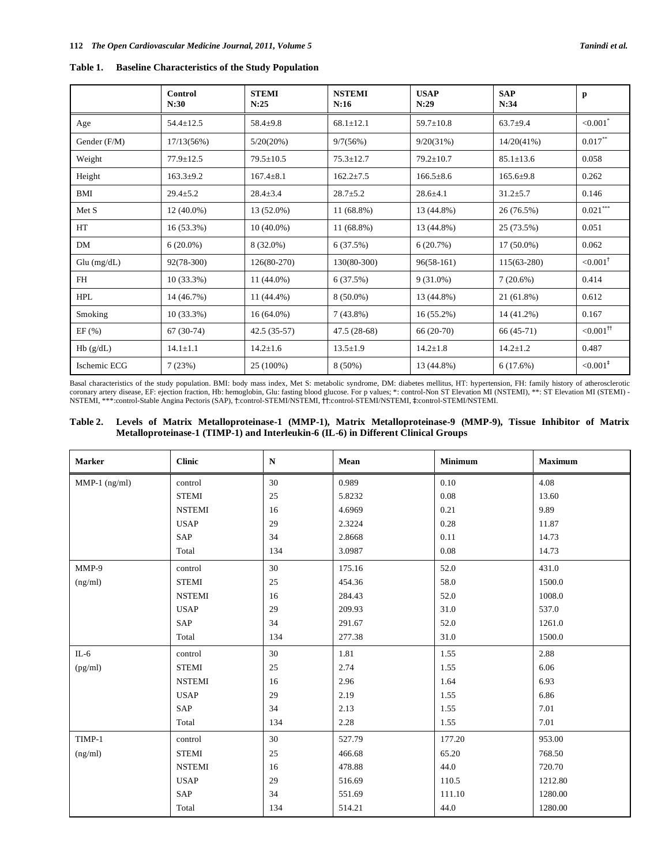| <b>Baseline Characteristics of the Study Population</b> | Table 1. |  |  |  |  |  |
|---------------------------------------------------------|----------|--|--|--|--|--|
|---------------------------------------------------------|----------|--|--|--|--|--|

|               | Control<br>N:30 | <b>STEMI</b><br>N:25 | <b>NSTEMI</b><br>N:16 | <b>USAP</b><br>N:29 | <b>SAP</b><br>N:34 | p                        |
|---------------|-----------------|----------------------|-----------------------|---------------------|--------------------|--------------------------|
| Age           | $54.4 \pm 12.5$ | $58.4 + 9.8$         | $68.1 \pm 12.1$       | $59.7 \pm 10.8$     | $63.7 + 9.4$       | ${<}0.001$ <sup>*</sup>  |
| Gender (F/M)  | 17/13(56%)      | 5/20(20%)            | 9/7(56%)              | 9/20(31%)           | 14/20(41%)         | $0.017***$               |
| Weight        | $77.9 \pm 12.5$ | $79.5 \pm 10.5$      | $75.3 \pm 12.7$       | $79.2 \pm 10.7$     | $85.1 \pm 13.6$    | 0.058                    |
| Height        | $163.3 \pm 9.2$ | $167.4 \pm 8.1$      | $162.2 \pm 7.5$       | $166.5 \pm 8.6$     | $165.6+9.8$        | 0.262                    |
| BMI           | $29.4 \pm 5.2$  | $28.4 \pm 3.4$       | $28.7 + 5.2$          | $28.6 \pm 4.1$      | $31.2 \pm 5.7$     | 0.146                    |
| Met S         | $12(40.0\%)$    | 13 (52.0%)           | $11(68.8\%)$          | 13 (44.8%)          | 26 (76.5%)         | $0.021***$               |
| HT            | 16 (53.3%)      | $10(40.0\%)$         | 11 (68.8%)            | 13 (44.8%)          | 25 (73.5%)         | 0.051                    |
| DM            | $6(20.0\%)$     | 8 (32.0%)            | 6(37.5%)              | 6(20.7%)            | $17(50.0\%)$       | 0.062                    |
| $Glu$ (mg/dL) | $92(78-300)$    | 126(80-270)          | 130(80-300)           | $96(58-161)$        | $115(63-280)$      | ${<}0.001$ <sup>†</sup>  |
| FH            | $10(33.3\%)$    | $11(44.0\%)$         | 6(37.5%)              | $9(31.0\%)$         | $7(20.6\%)$        | 0.414                    |
| <b>HPL</b>    | 14 (46.7%)      | 11 (44.4%)           | $8(50.0\%)$           | 13 (44.8%)          | 21 (61.8%)         | 0.612                    |
| Smoking       | $10(33.3\%)$    | $16(64.0\%)$         | $7(43.8\%)$           | $16(55.2\%)$        | 14 (41.2%)         | 0.167                    |
| EF(%)         | $67(30-74)$     | $42.5(35-57)$        | $47.5(28-68)$         | $66(20-70)$         | $66(45-71)$        | ${<}0.001$ <sup>tt</sup> |
| Hb(g/dL)      | $14.1 \pm 1.1$  | $14.2 \pm 1.6$       | $13.5 \pm 1.9$        | $14.2 \pm 1.8$      | $14.2 \pm 1.2$     | 0.487                    |
| Ischemic ECG  | 7(23%)          | 25 (100%)            | $8(50\%)$             | 13 (44.8%)          | 6(17.6%)           | ${<}0.001$ <sup>*</sup>  |

Basal characteristics of the study population. BMI: body mass index, Met S: metabolic syndrome, DM: diabetes mellitus, HT: hypertension, FH: family history of atherosclerotic coronary artery disease, EF: ejection fraction, Hb: hemoglobin, Glu: fasting blood glucose. For p values; \*: control-Non ST Elevation MI (NSTEMI), \*\*: ST Elevation MI (STEMI) - NSTEMI, \*\*\*:control-Stable Angina Pectoris (SAP), †:control-STEMI/NSTEMI, ††:control-STEMI/NSTEMI, ‡:control-STEMI/NSTEMI.

# **Table 2. Levels of Matrix Metalloproteinase-1 (MMP-1), Matrix Metalloproteinase-9 (MMP-9), Tissue Inhibitor of Matrix Metalloproteinase-1 (TIMP-1) and Interleukin-6 (IL-6) in Different Clinical Groups**

| <b>Marker</b>   | <b>Clinic</b> | $\mathbf N$ | Mean   | <b>Minimum</b> | <b>Maximum</b> |
|-----------------|---------------|-------------|--------|----------------|----------------|
| $MMP-1$ (ng/ml) | control       | 30          | 0.989  | 0.10           | 4.08           |
|                 | <b>STEMI</b>  | 25          | 5.8232 | 0.08           | 13.60          |
|                 | <b>NSTEMI</b> | 16          | 4.6969 | 0.21           | 9.89           |
|                 | <b>USAP</b>   | 29          | 2.3224 | 0.28           | 11.87          |
|                 | SAP           | 34          | 2.8668 | 0.11           | 14.73          |
|                 | Total         | 134         | 3.0987 | 0.08           | 14.73          |
| MMP-9           | control       | 30          | 175.16 | 52.0           | 431.0          |
| (ng/ml)         | <b>STEMI</b>  | 25          | 454.36 | 58.0           | 1500.0         |
|                 | <b>NSTEMI</b> | 16          | 284.43 | 52.0           | 1008.0         |
|                 | <b>USAP</b>   | 29          | 209.93 | 31.0           | 537.0          |
|                 | SAP           | 34          | 291.67 | 52.0           | 1261.0         |
|                 | Total         | 134         | 277.38 | 31.0           | 1500.0         |
| $IL-6$          | control       | 30          | 1.81   | 1.55           | 2.88           |
| (pg/ml)         | <b>STEMI</b>  | 25          | 2.74   | 1.55           | 6.06           |
|                 | <b>NSTEMI</b> | 16          | 2.96   | 1.64           | 6.93           |
|                 | <b>USAP</b>   | 29          | 2.19   | 1.55           | 6.86           |
|                 | SAP           | 34          | 2.13   | 1.55           | 7.01           |
|                 | Total         | 134         | 2.28   | 1.55           | 7.01           |
| TIMP-1          | control       | 30          | 527.79 | 177.20         | 953.00         |
| (ng/ml)         | <b>STEMI</b>  | 25          | 466.68 | 65.20          | 768.50         |
|                 | <b>NSTEMI</b> | 16          | 478.88 | 44.0           | 720.70         |
|                 | <b>USAP</b>   | 29          | 516.69 | 110.5          | 1212.80        |
|                 | SAP           | 34          | 551.69 | 111.10         | 1280.00        |
|                 | Total         | 134         | 514.21 | 44.0           | 1280.00        |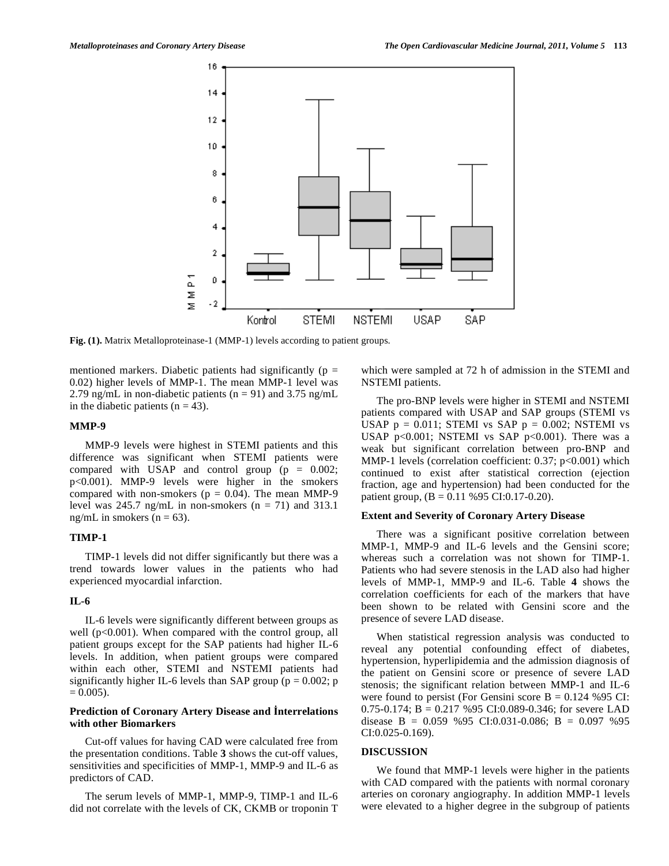

**Fig. (1).** Matrix Metalloproteinase-1 (MMP-1) levels according to patient groups.

mentioned markers. Diabetic patients had significantly ( $p =$ 0.02) higher levels of MMP-1. The mean MMP-1 level was 2.79 ng/mL in non-diabetic patients ( $n = 91$ ) and 3.75 ng/mL in the diabetic patients  $(n = 43)$ .

### **MMP-9**

 MMP-9 levels were highest in STEMI patients and this difference was significant when STEMI patients were compared with USAP and control group  $(p = 0.002;$ p<0.001). MMP-9 levels were higher in the smokers compared with non-smokers ( $p = 0.04$ ). The mean MMP-9 level was 245.7 ng/mL in non-smokers ( $n = 71$ ) and 313.1 ng/mL in smokers ( $n = 63$ ).

#### **TIMP-1**

 TIMP-1 levels did not differ significantly but there was a trend towards lower values in the patients who had experienced myocardial infarction.

### **IL-6**

 IL-6 levels were significantly different between groups as well  $(p<0.001)$ . When compared with the control group, all patient groups except for the SAP patients had higher IL-6 levels. In addition, when patient groups were compared within each other, STEMI and NSTEMI patients had significantly higher IL-6 levels than SAP group ( $p = 0.002$ ; p  $= 0.005$ ).

#### **Prediction of Coronary Artery Disease and nterrelations with other Biomarkers**

 Cut-off values for having CAD were calculated free from the presentation conditions. Table **3** shows the cut-off values, sensitivities and specificities of MMP-1, MMP-9 and IL-6 as predictors of CAD.

 The serum levels of MMP-1, MMP-9, TIMP-1 and IL-6 did not correlate with the levels of CK, CKMB or troponin T which were sampled at 72 h of admission in the STEMI and NSTEMI patients.

 The pro-BNP levels were higher in STEMI and NSTEMI patients compared with USAP and SAP groups (STEMI vs USAP  $p = 0.011$ ; STEMI vs SAP  $p = 0.002$ ; NSTEMI vs USAP p<0.001; NSTEMI vs SAP p<0.001). There was a weak but significant correlation between pro-BNP and MMP-1 levels (correlation coefficient: 0.37; p<0.001) which continued to exist after statistical correction (ejection fraction, age and hypertension) had been conducted for the patient group, (B = 0.11 %95 CI:0.17-0.20).

#### **Extent and Severity of Coronary Artery Disease**

 There was a significant positive correlation between MMP-1, MMP-9 and IL-6 levels and the Gensini score; whereas such a correlation was not shown for TIMP-1. Patients who had severe stenosis in the LAD also had higher levels of MMP-1, MMP-9 and IL-6. Table **4** shows the correlation coefficients for each of the markers that have been shown to be related with Gensini score and the presence of severe LAD disease.

 When statistical regression analysis was conducted to reveal any potential confounding effect of diabetes, hypertension, hyperlipidemia and the admission diagnosis of the patient on Gensini score or presence of severe LAD stenosis; the significant relation between MMP-1 and IL-6 were found to persist (For Gensini score  $B = 0.124$  %95 CI: 0.75-0.174;  $B = 0.217$  %95 CI:0.089-0.346; for severe LAD disease B =  $0.059$  %95 CI:0.031-0.086; B = 0.097 %95 CI:0.025-0.169).

### **DISCUSSION**

 We found that MMP-1 levels were higher in the patients with CAD compared with the patients with normal coronary arteries on coronary angiography. In addition MMP-1 levels were elevated to a higher degree in the subgroup of patients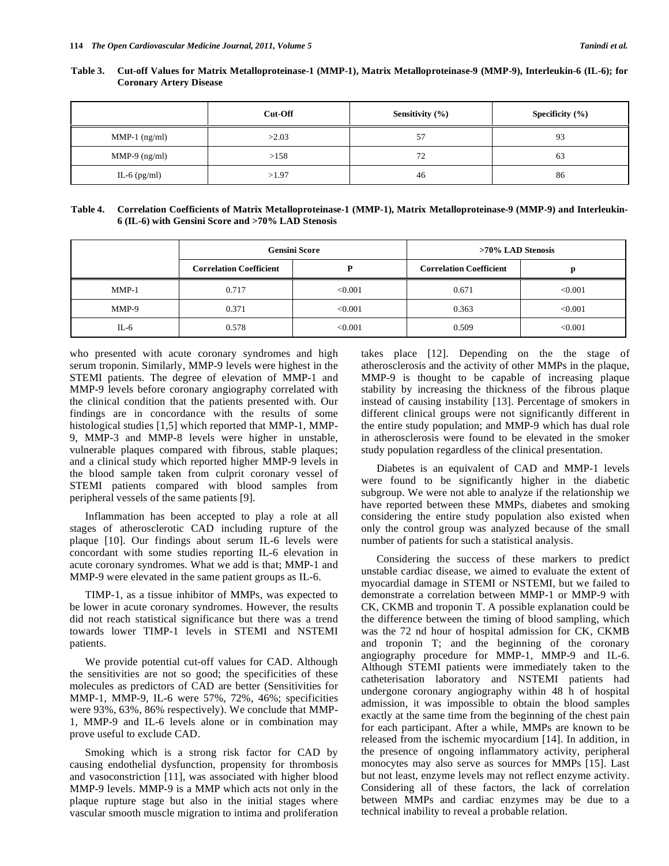|                 | Cut-Off | Sensitivity $(\% )$ | Specificity $(\% )$ |
|-----------------|---------|---------------------|---------------------|
| MMP-1 $(ng/ml)$ | >2.03   | 57<br>◡             | 93                  |
| MMP-9 $(ng/ml)$ | >158    | 72                  | 63                  |
| IL-6 $(pg/ml)$  | >1.97   | 46                  | 86                  |

**Table 3. Cut-off Values for Matrix Metalloproteinase-1 (MMP-1), Matrix Metalloproteinase-9 (MMP-9), Interleukin-6 (IL-6); for Coronary Artery Disease** 

| Table 4. Correlation Coefficients of Matrix Metalloproteinase-1 (MMP-1), Matrix Metalloproteinase-9 (MMP-9) and Interleukin- |
|------------------------------------------------------------------------------------------------------------------------------|
| 6 (IL-6) with Gensini Score and >70% LAD Stenosis                                                                            |

|         |                                | <b>Gensini Score</b> | >70% LAD Stenosis              |         |  |
|---------|--------------------------------|----------------------|--------------------------------|---------|--|
|         | <b>Correlation Coefficient</b> |                      | <b>Correlation Coefficient</b> |         |  |
| $MMP-1$ | 0.717                          | ${<}0.001$           | 0.671                          | < 0.001 |  |
| MMP-9   | 0.371                          | ${<}0.001$           | 0.363                          | < 0.001 |  |
| IL-6    | 0.578                          | ${<}0.001$           | 0.509                          | < 0.001 |  |

who presented with acute coronary syndromes and high serum troponin. Similarly, MMP-9 levels were highest in the STEMI patients. The degree of elevation of MMP-1 and MMP-9 levels before coronary angiography correlated with the clinical condition that the patients presented with. Our findings are in concordance with the results of some histological studies [1,5] which reported that MMP-1, MMP-9, MMP-3 and MMP-8 levels were higher in unstable, vulnerable plaques compared with fibrous, stable plaques; and a clinical study which reported higher MMP-9 levels in the blood sample taken from culprit coronary vessel of STEMI patients compared with blood samples from peripheral vessels of the same patients [9].

 Inflammation has been accepted to play a role at all stages of atherosclerotic CAD including rupture of the plaque [10]. Our findings about serum IL-6 levels were concordant with some studies reporting IL-6 elevation in acute coronary syndromes. What we add is that; MMP-1 and MMP-9 were elevated in the same patient groups as IL-6.

 TIMP-1, as a tissue inhibitor of MMPs, was expected to be lower in acute coronary syndromes. However, the results did not reach statistical significance but there was a trend towards lower TIMP-1 levels in STEMI and NSTEMI patients.

 We provide potential cut-off values for CAD. Although the sensitivities are not so good; the specificities of these molecules as predictors of CAD are better (Sensitivities for MMP-1, MMP-9, IL-6 were 57%, 72%, 46%; specificities were 93%, 63%, 86% respectively). We conclude that MMP-1, MMP-9 and IL-6 levels alone or in combination may prove useful to exclude CAD.

 Smoking which is a strong risk factor for CAD by causing endothelial dysfunction, propensity for thrombosis and vasoconstriction [11], was associated with higher blood MMP-9 levels. MMP-9 is a MMP which acts not only in the plaque rupture stage but also in the initial stages where vascular smooth muscle migration to intima and proliferation takes place [12]. Depending on the the stage of atherosclerosis and the activity of other MMPs in the plaque, MMP-9 is thought to be capable of increasing plaque stability by increasing the thickness of the fibrous plaque instead of causing instability [13]. Percentage of smokers in different clinical groups were not significantly different in the entire study population; and MMP-9 which has dual role in atherosclerosis were found to be elevated in the smoker study population regardless of the clinical presentation.

 Diabetes is an equivalent of CAD and MMP-1 levels were found to be significantly higher in the diabetic subgroup. We were not able to analyze if the relationship we have reported between these MMPs, diabetes and smoking considering the entire study population also existed when only the control group was analyzed because of the small number of patients for such a statistical analysis.

 Considering the success of these markers to predict unstable cardiac disease, we aimed to evaluate the extent of myocardial damage in STEMI or NSTEMI, but we failed to demonstrate a correlation between MMP-1 or MMP-9 with CK, CKMB and troponin T. A possible explanation could be the difference between the timing of blood sampling, which was the 72 nd hour of hospital admission for CK, CKMB and troponin T; and the beginning of the coronary angiography procedure for MMP-1, MMP-9 and IL-6. Although STEMI patients were immediately taken to the catheterisation laboratory and NSTEMI patients had undergone coronary angiography within 48 h of hospital admission, it was impossible to obtain the blood samples exactly at the same time from the beginning of the chest pain for each participant. After a while, MMPs are known to be released from the ischemic myocardium [14]. In addition, in the presence of ongoing inflammatory activity, peripheral monocytes may also serve as sources for MMPs [15]. Last but not least, enzyme levels may not reflect enzyme activity. Considering all of these factors, the lack of correlation between MMPs and cardiac enzymes may be due to a technical inability to reveal a probable relation.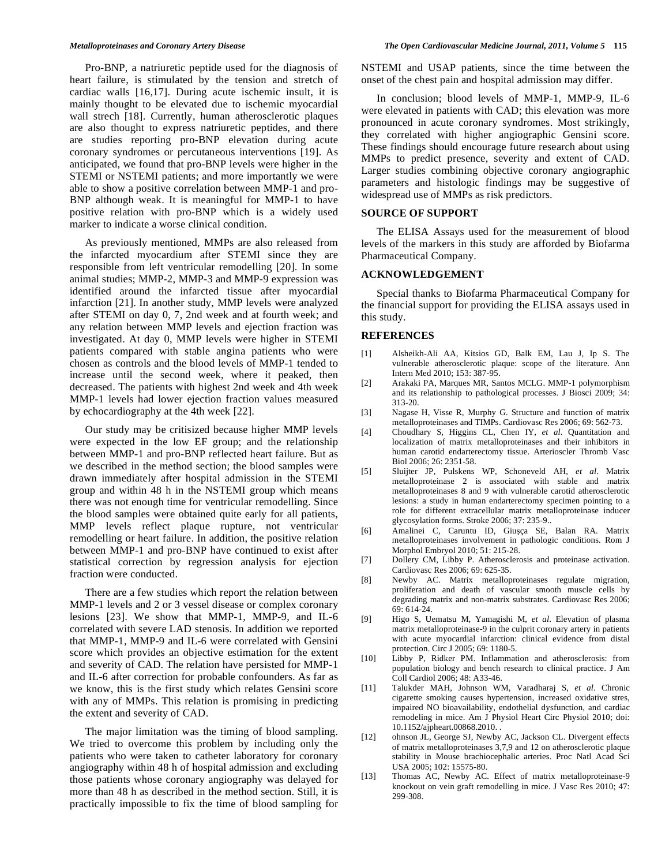Pro-BNP, a natriuretic peptide used for the diagnosis of heart failure, is stimulated by the tension and stretch of cardiac walls [16,17]. During acute ischemic insult, it is mainly thought to be elevated due to ischemic myocardial wall strech [18]. Currently, human atherosclerotic plaques are also thought to express natriuretic peptides, and there are studies reporting pro-BNP elevation during acute coronary syndromes or percutaneous interventions [19]. As anticipated, we found that pro-BNP levels were higher in the STEMI or NSTEMI patients; and more importantly we were able to show a positive correlation between MMP-1 and pro-BNP although weak. It is meaningful for MMP-1 to have positive relation with pro-BNP which is a widely used marker to indicate a worse clinical condition.

 As previously mentioned, MMPs are also released from the infarcted myocardium after STEMI since they are responsible from left ventricular remodelling [20]. In some animal studies; MMP-2, MMP-3 and MMP-9 expression was identified around the infarcted tissue after myocardial infarction [21]. In another study, MMP levels were analyzed after STEMI on day 0, 7, 2nd week and at fourth week; and any relation between MMP levels and ejection fraction was investigated. At day 0, MMP levels were higher in STEMI patients compared with stable angina patients who were chosen as controls and the blood levels of MMP-1 tended to increase until the second week, where it peaked, then decreased. The patients with highest 2nd week and 4th week MMP-1 levels had lower ejection fraction values measured by echocardiography at the 4th week [22].

 Our study may be critisized because higher MMP levels were expected in the low EF group; and the relationship between MMP-1 and pro-BNP reflected heart failure. But as we described in the method section; the blood samples were drawn immediately after hospital admission in the STEMI group and within 48 h in the NSTEMI group which means there was not enough time for ventricular remodelling. Since the blood samples were obtained quite early for all patients, MMP levels reflect plaque rupture, not ventricular remodelling or heart failure. In addition, the positive relation between MMP-1 and pro-BNP have continued to exist after statistical correction by regression analysis for ejection fraction were conducted.

 There are a few studies which report the relation between MMP-1 levels and 2 or 3 vessel disease or complex coronary lesions [23]. We show that MMP-1, MMP-9, and IL-6 correlated with severe LAD stenosis. In addition we reported that MMP-1, MMP-9 and IL-6 were correlated with Gensini score which provides an objective estimation for the extent and severity of CAD. The relation have persisted for MMP-1 and IL-6 after correction for probable confounders. As far as we know, this is the first study which relates Gensini score with any of MMPs. This relation is promising in predicting the extent and severity of CAD.

 The major limitation was the timing of blood sampling. We tried to overcome this problem by including only the patients who were taken to catheter laboratory for coronary angiography within 48 h of hospital admission and excluding those patients whose coronary angiography was delayed for more than 48 h as described in the method section. Still, it is practically impossible to fix the time of blood sampling for NSTEMI and USAP patients, since the time between the onset of the chest pain and hospital admission may differ.

 In conclusion; blood levels of MMP-1, MMP-9, IL-6 were elevated in patients with CAD; this elevation was more pronounced in acute coronary syndromes. Most strikingly, they correlated with higher angiographic Gensini score. These findings should encourage future research about using MMPs to predict presence, severity and extent of CAD. Larger studies combining objective coronary angiographic parameters and histologic findings may be suggestive of widespread use of MMPs as risk predictors.

### **SOURCE OF SUPPORT**

 The ELISA Assays used for the measurement of blood levels of the markers in this study are afforded by Biofarma Pharmaceutical Company.

#### **ACKNOWLEDGEMENT**

 Special thanks to Biofarma Pharmaceutical Company for the financial support for providing the ELISA assays used in this study.

### **REFERENCES**

- [1] Alsheikh-Ali AA, Kitsios GD, Balk EM, Lau J, Ip S. The vulnerable atherosclerotic plaque: scope of the literature. Ann Intern Med 2010; 153: 387-95.
- [2] Arakaki PA, Marques MR, Santos MCLG. MMP-1 polymorphism and its relationship to pathological processes. J Biosci 2009; 34: 313-20.
- [3] Nagase H, Visse R, Murphy G. Structure and function of matrix metalloproteinases and TIMPs. Cardiovasc Res 2006; 69: 562-73.
- [4] Choudhary S, Higgins CL, Chen IY, *et al*. Quantitation and localization of matrix metalloproteinases and their inhibitors in human carotid endarterectomy tissue. Arterioscler Thromb Vasc Biol 2006; 26: 2351-58.
- [5] Sluijter JP, Pulskens WP, Schoneveld AH, *et al*. Matrix metalloproteinase 2 is associated with stable and matrix metalloproteinases 8 and 9 with vulnerable carotid atherosclerotic lesions: a study in human endarterectomy specimen pointing to a role for different extracellular matrix metalloproteinase inducer glycosylation forms. Stroke 2006; 37: 235-9..
- [6] Amalinei C, Caruntu ID, Giuça SE, Balan RA. Matrix metalloproteinases involvement in pathologic conditions. Rom J Morphol Embryol 2010; 51: 215-28.
- [7] Dollery CM, Libby P. Atherosclerosis and proteinase activation. Cardiovasc Res 2006; 69: 625-35.
- [8] Newby AC. Matrix metalloproteinases regulate migration, proliferation and death of vascular smooth muscle cells by degrading matrix and non-matrix substrates. Cardiovasc Res 2006; 69: 614-24.
- [9] Higo S, Uematsu M, Yamagishi M, *et al*. Elevation of plasma matrix metalloproteinase-9 in the culprit coronary artery in patients with acute myocardial infarction: clinical evidence from distal protection. Circ J 2005; 69: 1180-5.
- [10] Libby P, Ridker PM. Inflammation and atherosclerosis: from population biology and bench research to clinical practice. J Am Coll Cardiol 2006; 48: A33-46.
- [11] Talukder MAH, Johnson WM, Varadharaj S, *et al*. Chronic cigarette smoking causes hypertension, increased oxidative stres, impaired NO bioavailability, endothelial dysfunction, and cardiac remodeling in mice. Am J Physiol Heart Circ Physiol 2010; doi: 10.1152/ajpheart.00868.2010. .
- [12] ohnson JL, George SJ, Newby AC, Jackson CL. Divergent effects of matrix metalloproteinases 3,7,9 and 12 on atherosclerotic plaque stability in Mouse brachiocephalic arteries. Proc Natl Acad Sci USA 2005; 102: 15575-80.
- [13] Thomas AC, Newby AC. Effect of matrix metalloproteinase-9 knockout on vein graft remodelling in mice. J Vasc Res 2010; 47: 299-308.